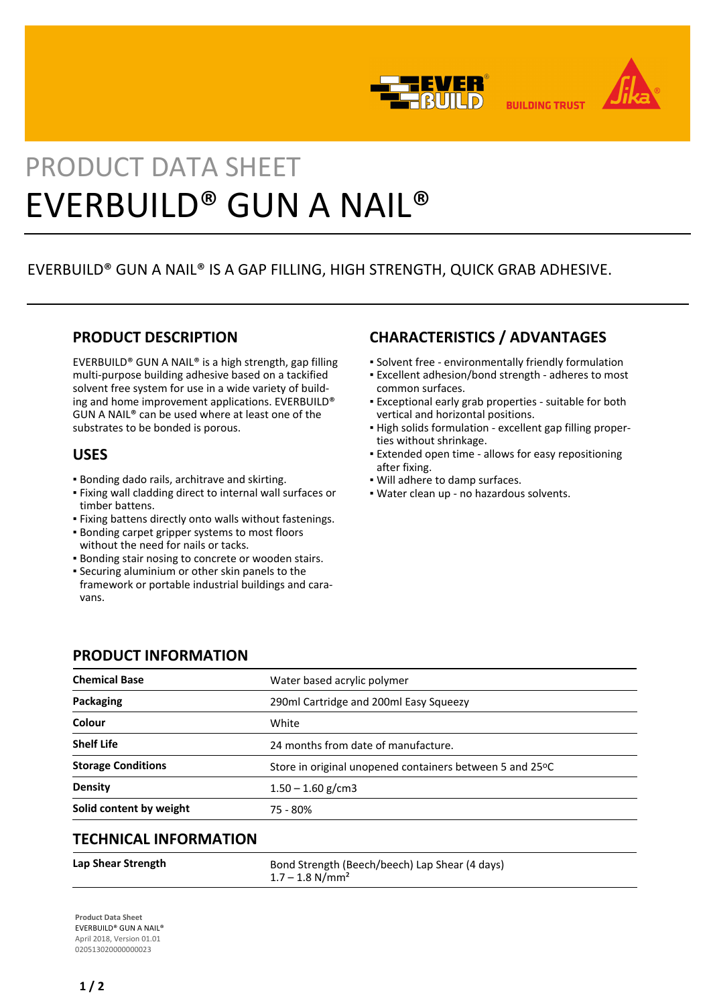



**BUILDING TRUST** 

# PRODUCT DATA SHEET EVERBUILD® GUN A NAIL®

# EVERBUILD® GUN A NAIL® IS A GAP FILLING, HIGH STRENGTH, QUICK GRAB ADHESIVE.

# **PRODUCT DESCRIPTION**

EVERBUILD® GUN A NAIL® is a high strength, gap filling multi-purpose building adhesive based on a tackified solvent free system for use in a wide variety of building and home improvement applications. EVERBUILD® GUN A NAIL® can be used where at least one of the substrates to be bonded is porous.

# **USES**

- Bonding dado rails, architrave and skirting.
- Fixing wall cladding direct to internal wall surfaces or timber battens.
- Fixing battens directly onto walls without fastenings.
- **Bonding carpet gripper systems to most floors** without the need for nails or tacks.
- **Bonding stair nosing to concrete or wooden stairs.**
- Securing aluminium or other skin panels to the framework or portable industrial buildings and caravans.

# **CHARACTERISTICS / ADVANTAGES**

- Solvent free environmentally friendly formulation
- Excellent adhesion/bond strength adheres to most common surfaces.
- Exceptional early grab properties suitable for both vertical and horizontal positions.
- High solids formulation excellent gap filling proper-▪ ties without shrinkage.
- Extended open time allows for easy repositioning after fixing.
- Will adhere to damp surfaces.
- Water clean up no hazardous solvents.

## **PRODUCT INFORMATION**

| <b>Chemical Base</b>         | Water based acrylic polymer                              |
|------------------------------|----------------------------------------------------------|
| Packaging                    | 290ml Cartridge and 200ml Easy Squeezy                   |
| Colour                       | White                                                    |
| <b>Shelf Life</b>            | 24 months from date of manufacture.                      |
| <b>Storage Conditions</b>    | Store in original unopened containers between 5 and 25°C |
| <b>Density</b>               | $1.50 - 1.60$ g/cm3                                      |
| Solid content by weight      | 75 - 80%                                                 |
| <b>TECHNICAL INFORMATION</b> |                                                          |

### Lap Shear Strength **Bond Strength (Beech/beech)** Lap Shear (4 days)  $1.7 - 1.8$  N/mm<sup>2</sup>

**Product Data Sheet** EVERBUILD® GUN A NAIL® April 2018, Version 01.01 020513020000000023